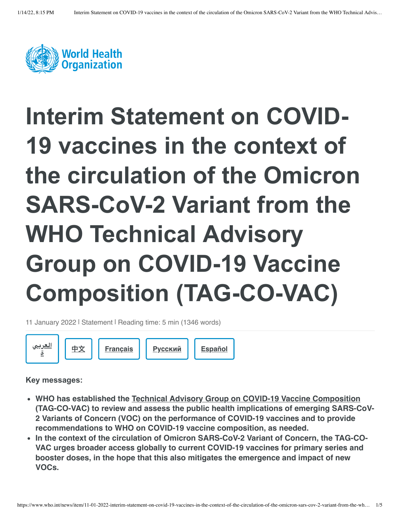

## **Interim Statement on COVID-19 vaccines in the context of the circulation of the Omicron SARS-CoV-2 Variant from the WHO Technical Advisory Group on COVID-19 Vaccine Composition (TAG-CO-VAC)**

11 January 2022 | Statement | Reading time: 5 min (1346 words)



**Key messages:**

- **WHO has established the [Technical Advisory Group on COVID-19 Vaccine Composition](https://www.who.int/groups/technical-advisory-group-on-covid-19-vaccine-composition-(tag-co-vac)) (TAG-CO-VAC) to review and assess the public health implications of emerging SARS-CoV-2 Variants of Concern (VOC) on the performance of COVID-19 vaccines and to provide recommendations to WHO on COVID-19 vaccine composition, as needed.**
- In the context of the circulation of Omicron SARS-CoV-2 Variant of Concern, the TAG-CO-**VAC urges broader access globally to current COVID-19 vaccines for primary series and booster doses, in the hope that this also mitigates the emergence and impact of new VOCs.**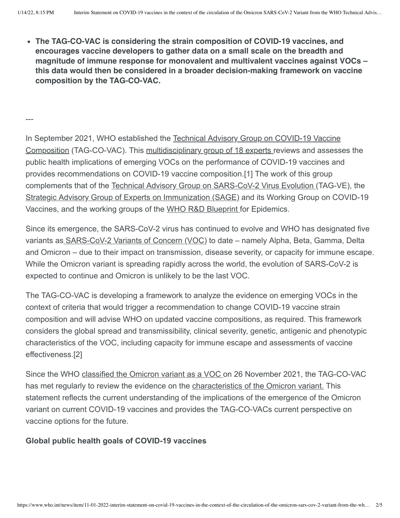**The TAG-CO-VAC is considering the strain composition of COVID-19 vaccines, and encourages vaccine developers to gather data on a small scale on the breadth and magnitude of immune response for monovalent and multivalent vaccines against VOCs – this data would then be considered in a broader decision-making framework on vaccine composition by the TAG-CO-VAC.**

---

[In September 2021, WHO established the Technical Advisory Group on COVID-19 Vaccine](https://www.who.int/groups/technical-advisory-group-on-covid-19-vaccine-composition-(tag-co-vac)) Composition (TAG-CO-VAC). This [multidisciplinary group of 18 experts](https://www.who.int/groups/technical-advisory-group-on-covid-19-vaccine-composition-(tag-co-vac)/about) reviews and assesses the public health implications of emerging VOCs on the performance of COVID-19 vaccines and provides recommendations on COVID-19 vaccine composition.[1] The work of this group complements that of the [Technical Advisory Group on SARS-CoV-2 Virus Evolution \(](https://www.who.int/groups/technical-advisory-group-on-sars-cov-2-virus-evolution)TAG-VE), the [Strategic Advisory Group of Experts on Immunization \(SAGE\)](https://www.who.int/groups/strategic-advisory-group-of-experts-on-immunization) and its Working Group on COVID-19 Vaccines, and the working groups of the [WHO R&D Blueprint](https://www.who.int/teams/blueprint/covid-19) for Epidemics.

Since its emergence, the SARS-CoV-2 virus has continued to evolve and WHO has designated five variants as **SARS-CoV-2 Variants of Concern (VOC)** to date – namely Alpha, Beta, Gamma, Delta and Omicron – due to their impact on transmission, disease severity, or capacity for immune escape. While the Omicron variant is spreading rapidly across the world, the evolution of SARS-CoV-2 is expected to continue and Omicron is unlikely to be the last VOC.

The TAG-CO-VAC is developing a framework to analyze the evidence on emerging VOCs in the context of criteria that would trigger a recommendation to change COVID-19 vaccine strain composition and will advise WHO on updated vaccine compositions, as required. This framework considers the global spread and transmissibility, clinical severity, genetic, antigenic and phenotypic characteristics of the VOC, including capacity for immune escape and assessments of vaccine effectiveness.[2]

Since the WHO [classified the Omicron variant as a VOC o](https://www.who.int/news/item/26-11-2021-classification-of-omicron-(b.1.1.529)-sars-cov-2-variant-of-concern)n 26 November 2021, the TAG-CO-VAC has met regularly to review the evidence on the [characteristics of the Omicron variant.](https://www.who.int/publications/m/item/enhancing-readiness-for-omicron-(b.1.1.529)-technical-brief-and-priority-actions-for-member-states) This statement reflects the current understanding of the implications of the emergence of the Omicron variant on current COVID-19 vaccines and provides the TAG-CO-VACs current perspective on vaccine options for the future.

## **Global public health goals of COVID-19 vaccines**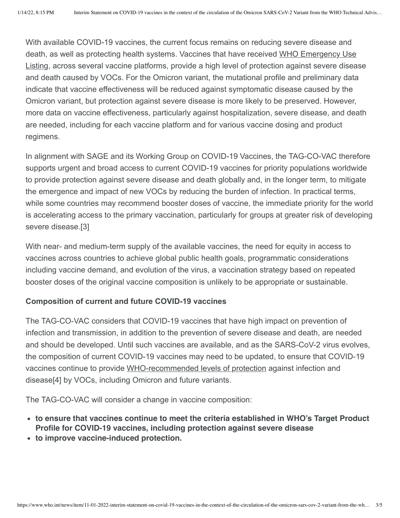With available COVID-19 vaccines, the current focus remains on reducing severe disease and [death, as well as protecting health systems. Vaccines that have received WHO Emergency Use](https://www.who.int/teams/regulation-prequalification/eul/eul-vaccines) Listing, across several vaccine platforms, provide a high level of protection against severe disease and death caused by VOCs. For the Omicron variant, the mutational profile and preliminary data indicate that vaccine effectiveness will be reduced against symptomatic disease caused by the Omicron variant, but protection against severe disease is more likely to be preserved. However, more data on vaccine effectiveness, particularly against hospitalization, severe disease, and death are needed, including for each vaccine platform and for various vaccine dosing and product regimens.

In alignment with SAGE and its Working Group on COVID-19 Vaccines, the TAG-CO-VAC therefore supports urgent and broad access to current COVID-19 vaccines for priority populations worldwide to provide protection against severe disease and death globally and, in the longer term, to mitigate the emergence and impact of new VOCs by reducing the burden of infection. In practical terms, while some countries may recommend booster doses of vaccine, the immediate priority for the world is accelerating access to the primary vaccination, particularly for groups at greater risk of developing severe disease.[3]

With near- and medium-term supply of the available vaccines, the need for equity in access to vaccines across countries to achieve global public health goals, programmatic considerations including vaccine demand, and evolution of the virus, a vaccination strategy based on repeated booster doses of the original vaccine composition is unlikely to be appropriate or sustainable.

## **Composition of current and future COVID-19 vaccines**

The TAG-CO-VAC considers that COVID-19 vaccines that have high impact on prevention of infection and transmission, in addition to the prevention of severe disease and death, are needed and should be developed. Until such vaccines are available, and as the SARS-CoV-2 virus evolves, the composition of current COVID-19 vaccines may need to be updated, to ensure that COVID-19 vaccines continue to provide [WHO-recommended levels of protection](https://www.who.int/publications/m/item/who-target-product-profiles-for-covid-19-vaccines) against infection and disease[4] by VOCs, including Omicron and future variants.

The TAG-CO-VAC will consider a change in vaccine composition:

- **to ensure that vaccines continue to meet the criteria established in WHO's Target Product Profile for COVID-19 vaccines, including protection against severe disease**
- **to improve vaccine-induced protection.**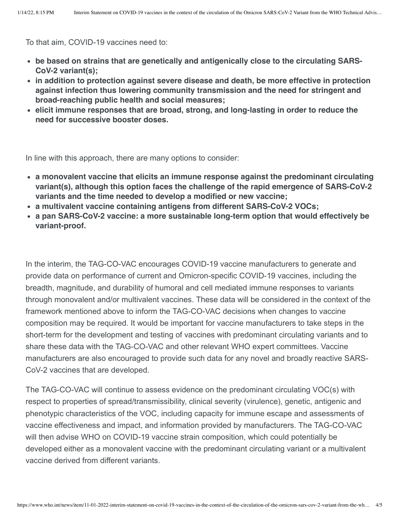To that aim, COVID-19 vaccines need to:

- **be based on strains that are genetically and antigenically close to the circulating SARS-CoV-2 variant(s);**
- **in addition to protection against severe disease and death, be more effective in protection against infection thus lowering community transmission and the need for stringent and broad-reaching public health and social measures;**
- **elicit immune responses that are broad, strong, and long-lasting in order to reduce the need for successive booster doses.**

In line with this approach, there are many options to consider:

- **a monovalent vaccine that elicits an immune response against the predominant circulating variant(s), although this option faces the challenge of the rapid emergence of SARS-CoV-2 variants and the time needed to develop a modified or new vaccine;**
- **a multivalent vaccine containing antigens from different SARS-CoV-2 VOCs;**
- **a pan SARS-CoV-2 vaccine: a more sustainable long-term option that would effectively be variant-proof.**

In the interim, the TAG-CO-VAC encourages COVID-19 vaccine manufacturers to generate and provide data on performance of current and Omicron-specific COVID-19 vaccines, including the breadth, magnitude, and durability of humoral and cell mediated immune responses to variants through monovalent and/or multivalent vaccines. These data will be considered in the context of the framework mentioned above to inform the TAG-CO-VAC decisions when changes to vaccine composition may be required. It would be important for vaccine manufacturers to take steps in the short-term for the development and testing of vaccines with predominant circulating variants and to share these data with the TAG-CO-VAC and other relevant WHO expert committees. Vaccine manufacturers are also encouraged to provide such data for any novel and broadly reactive SARS-CoV-2 vaccines that are developed.

The TAG-CO-VAC will continue to assess evidence on the predominant circulating VOC(s) with respect to properties of spread/transmissibility, clinical severity (virulence), genetic, antigenic and phenotypic characteristics of the VOC, including capacity for immune escape and assessments of vaccine effectiveness and impact, and information provided by manufacturers. The TAG-CO-VAC will then advise WHO on COVID-19 vaccine strain composition, which could potentially be developed either as a monovalent vaccine with the predominant circulating variant or a multivalent vaccine derived from different variants.